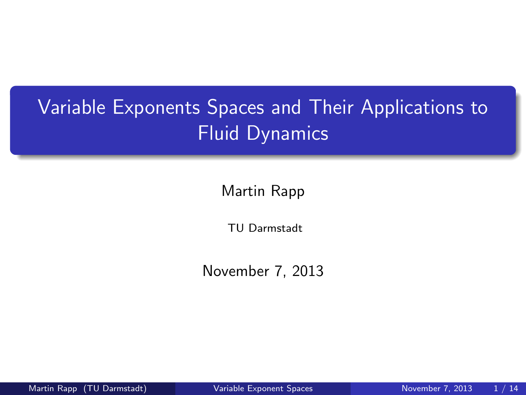# Variable Exponents Spaces and Their Applications to Fluid Dynamics

Martin Rapp

TU Darmstadt

November 7, 2013

<span id="page-0-0"></span>

Martin Rapp (TU Darmstadt) [Variable Exponent Spaces](#page-38-0) November 7, 2013 1/14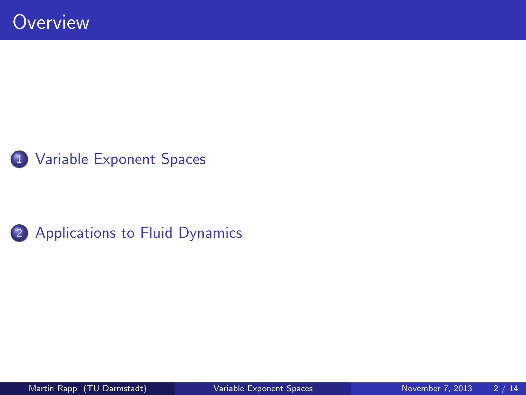

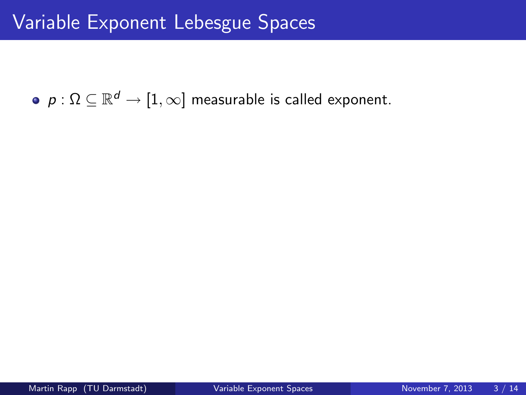<span id="page-2-0"></span> $\rho: \Omega \subseteq \mathbb{R}^d \to [1,\infty]$  measurable is called exponent.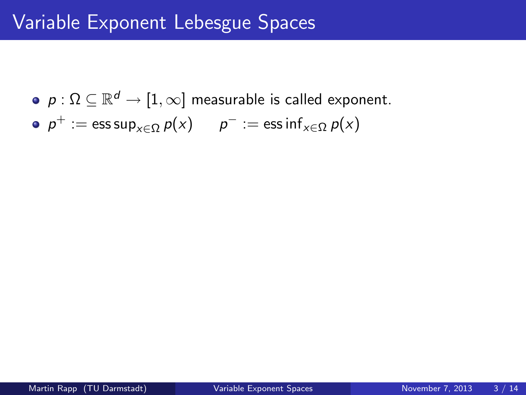- $\rho: \Omega \subseteq \mathbb{R}^d \to [1,\infty]$  measurable is called exponent.
- $p^+:=\operatorname{\sf ess\,sup}_{\mathsf{x}\in\Omega}p(\mathsf{x})\qquad p^-:=\operatorname{\sf ess\,inf}_{\mathsf{x}\in\Omega}p(\mathsf{x})$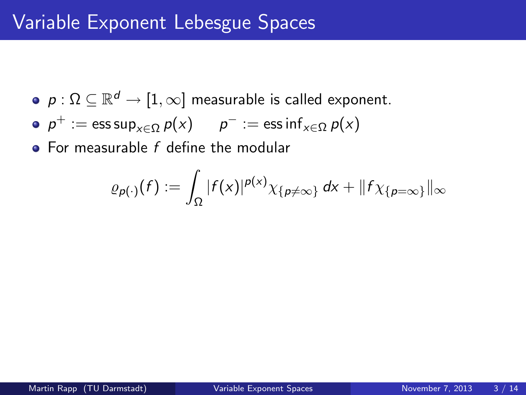- $\rho: \Omega \subseteq \mathbb{R}^d \to [1,\infty]$  measurable is called exponent.
- $p^+:=\operatorname{\sf ess\,sup}_{\mathsf{x}\in\Omega}p(\mathsf{x})\qquad p^-:=\operatorname{\sf ess\,inf}_{\mathsf{x}\in\Omega}p(\mathsf{x})$
- $\bullet$  For measurable  $f$  define the modular

$$
\varrho_{p(\cdot)}(f) := \int_{\Omega} |f(x)|^{p(x)} \chi_{\{p \neq \infty\}} dx + ||f \chi_{\{p=\infty\}}||_{\infty}
$$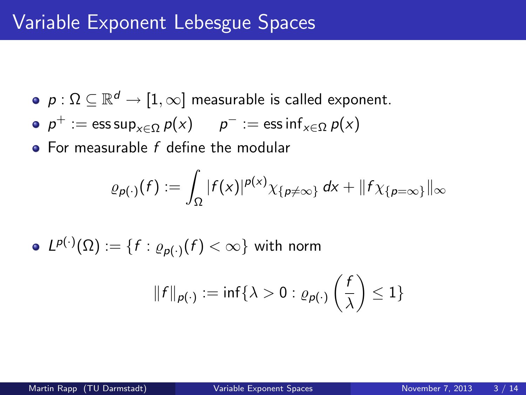- $\rho: \Omega \subseteq \mathbb{R}^d \to [1,\infty]$  measurable is called exponent.
- $p^+:=\operatorname{\sf ess\,sup}_{\mathsf{x}\in\Omega}p(\mathsf{x})\qquad p^-:=\operatorname{\sf ess\,inf}_{\mathsf{x}\in\Omega}p(\mathsf{x})$
- $\bullet$  For measurable  $f$  define the modular

$$
\varrho_{p(\cdot)}(f):=\int_{\Omega}|f(x)|^{p(x)}\chi_{\{p\neq\infty\}}\,dx+\|f\chi_{\{p=\infty\}}\|_{\infty}
$$

$$
\bullet \ \ L^{p(\cdot)}(\Omega):=\{f: \varrho_{p(\cdot)}(f)<\infty\} \ \text{with norm}
$$

$$
||f||_{p(\cdot)} := \inf \{ \lambda > 0 : \varrho_{p(\cdot)} \left( \frac{f}{\lambda} \right) \le 1 \}
$$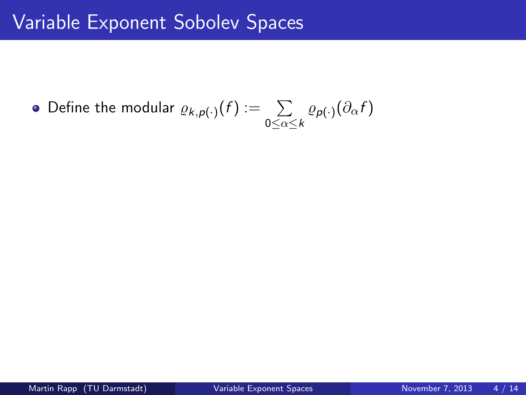### Define the modular  $\varrho_{k, p(\cdot)}(f) := -\sum$  $\sum\limits_{0\leq \alpha \leq k}\varrho_{\boldsymbol{\mathsf{p}}(\cdot)}(\partial_{\alpha}f)$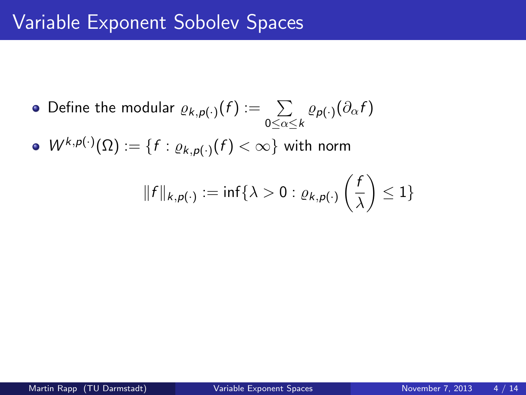Define the modular  $\varrho_{k, p(\cdot)}(f) := -\sum$  $\sum\limits_{0\leq \alpha \leq k}\varrho_{\boldsymbol{\mathsf{p}}(\cdot)}(\partial_{\alpha}f)$  $W^{k,p(\cdot)} (\Omega) := \{ f: \varrho_{k,p(\cdot)}(f) < \infty \}$  with norm  $\|f\|_{k, \rho(\cdot)}:=\inf\{\lambda>0: \varrho_{k, \rho(\cdot)}\left(\frac{f}{\tau}\right)$ λ  $\Big) \leq 1\}$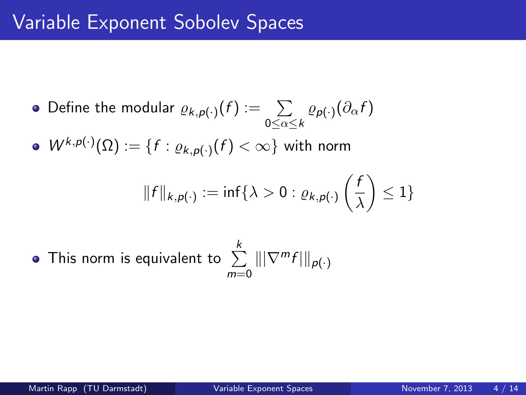\n- Define the modular 
$$
\varrho_{k,p(\cdot)}(f) := \sum_{0 \leq \alpha \leq k} \varrho_{p(\cdot)}(\partial_{\alpha} f)
$$
\n- $W^{k,p(\cdot)}(\Omega) := \{ f : \varrho_{k,p(\cdot)}(f) < \infty \}$  with norm  $||f||_{k,p(\cdot)} := \inf \{ \lambda > 0 : \varrho_{k,p(\cdot)} \left( \frac{f}{\lambda} \right) \leq 1 \}$
\n

• This norm is equivalent to 
$$
\sum_{m=0}^{k} |||\nabla^m f|||_{p(\cdot)}
$$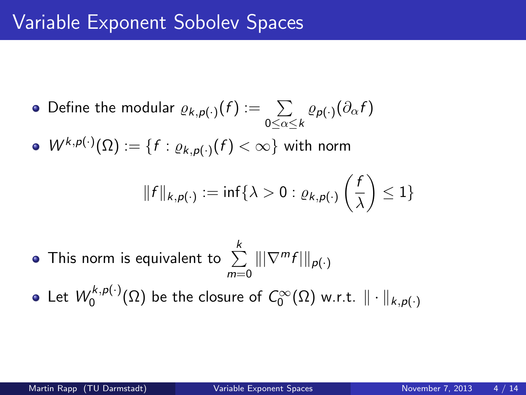- Define the modular  $\varrho_{k, p(\cdot)}(f) := -\sum$  $\sum\limits_{0\leq \alpha \leq k}\varrho_{\boldsymbol{\mathsf{p}}(\cdot)}(\partial_{\alpha}f)$  $W^{k,p(\cdot)} (\Omega) := \{ f: \varrho_{k,p(\cdot)}(f) < \infty \}$  with norm  $\|f\|_{k, \rho(\cdot)}:=\inf\{\lambda>0: \varrho_{k, \rho(\cdot)}\left(\frac{f}{\tau}\right)$ λ  $\Big) \leq 1\}$
- This norm is equivalent to  $\sum\limits_{i=1}^k\||\nabla^m f|\|_{\rho(\cdot)}$  $m=0$
- Let  $W^{k,p(\cdot)}_0$  $\mathcal{O}_0^{(\kappa,\mathsf{p}(\cdot))}(\Omega)$  be the closure of  $C_0^\infty(\Omega)$  w.r.t.  $\|\cdot\|_{k,\mathsf{p}(\cdot)}$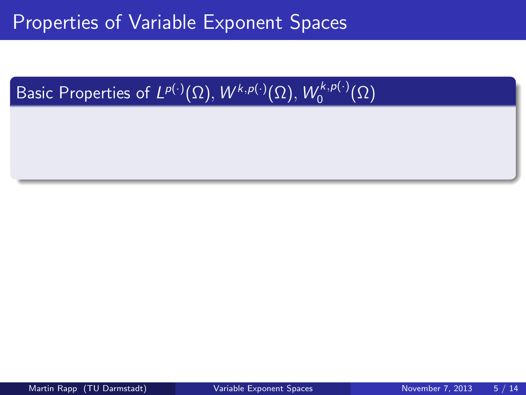#### Basic Properties of  $L^{p(\cdot)}(\Omega),$   $W^{k,p(\cdot)}(\Omega),$   $W_0^{k,p(\cdot)}$  $\binom{\kappa,\rho(\cdot)}{0}$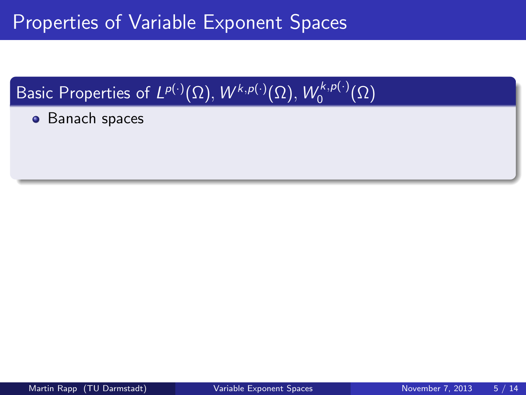#### Basic Properties of  $L^{p(\cdot)}(\Omega),$   $W^{k,p(\cdot)}(\Omega),$   $W_0^{k,p(\cdot)}$  $\binom{\kappa,\rho(\cdot)}{0}$

**•** Banach spaces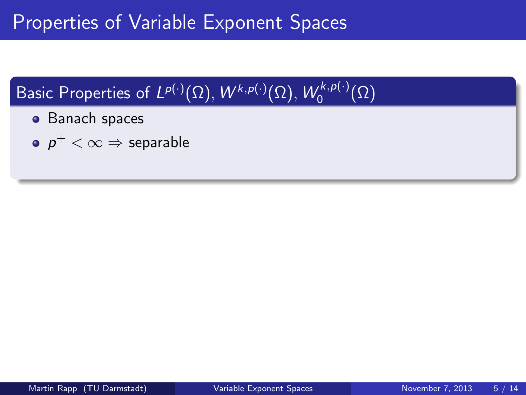#### Basic Properties of  $L^{p(\cdot)}(\Omega),$   $W^{k,p(\cdot)}(\Omega),$   $W_0^{k,p(\cdot)}$  $\binom{\kappa,\rho(\cdot)}{0}$

- **•** Banach spaces
- $\rho^+<\infty \Rightarrow$  separable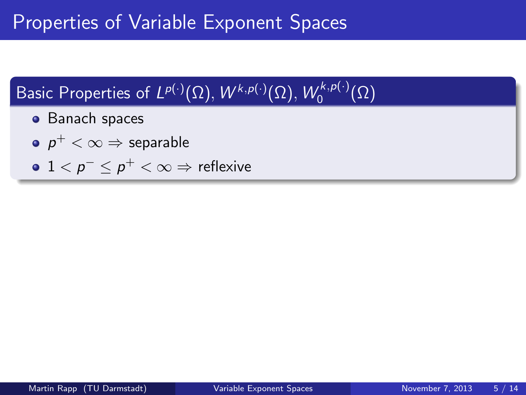#### Basic Properties of  $L^{p(\cdot)}(\Omega),$   $W^{k,p(\cdot)}(\Omega),$   $W_0^{k,p(\cdot)}$  $\binom{\kappa,\rho(\cdot)}{0}$

- **•** Banach spaces
- $\rho^+<\infty \Rightarrow$  separable
- $1 < p^- \leq p^+ < \infty \Rightarrow$  reflexive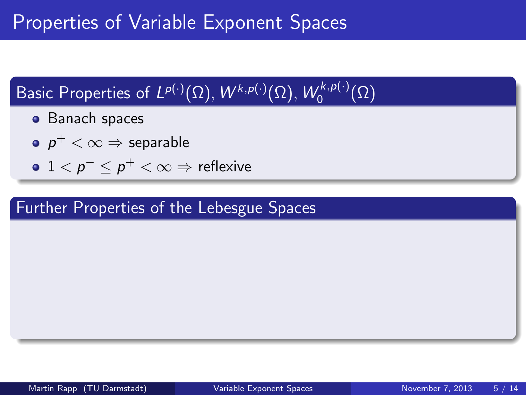#### Basic Properties of  $L^{p(\cdot)}(\Omega),$   $W^{k,p(\cdot)}(\Omega),$   $W_0^{k,p(\cdot)}$  $\binom{\kappa,\rho(\cdot)}{0}$

- **•** Banach spaces
- $\rho^+<\infty \Rightarrow$  separable
- $1 < p^- \leq p^+ < \infty \Rightarrow$  reflexive

### Further Properties of the Lebesgue Spaces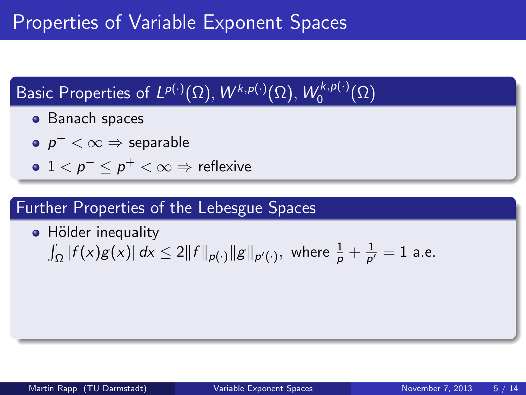#### Basic Properties of  $L^{p(\cdot)}(\Omega),$   $W^{k,p(\cdot)}(\Omega),$   $W_0^{k,p(\cdot)}$  $\binom{\kappa,\rho(\cdot)}{0}$

- **•** Banach spaces
- $\rho^+<\infty \Rightarrow$  separable
- $1 < p^- \leq p^+ < \infty \Rightarrow$  reflexive

### Further Properties of the Lebesgue Spaces

• Hölder inequality  $\int_\Omega \left|f(x)g(x)\right| dx \leq 2 \|f\|_{\rho(\cdot)} \|g\|_{\rho'(\cdot)},$  where  $\frac{1}{\rho} + \frac{1}{\rho'}$  $\frac{1}{p'}=1$  a.e.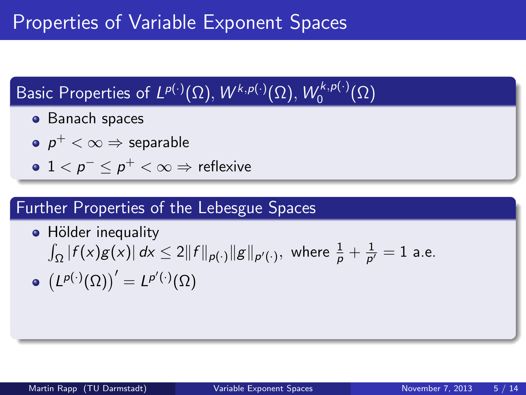#### Basic Properties of  $L^{p(\cdot)}(\Omega),$   $W^{k,p(\cdot)}(\Omega),$   $W_0^{k,p(\cdot)}$  $\binom{\kappa,\rho(\cdot)}{0}$

- **•** Banach spaces
- $\rho^+<\infty \Rightarrow$  separable
- $1 < p^- \leq p^+ < \infty \Rightarrow$  reflexive

### Further Properties of the Lebesgue Spaces

\n- Hölder inequality\n 
$$
\int_{\Omega} |f(x)g(x)| \, dx \leq 2||f||_{p(\cdot)}||g||_{p'(\cdot)},
$$
\n where\n  $\frac{1}{p} + \frac{1}{p'} = 1$ \n a.e.\n
\n- \n
$$
\left( L^{p(\cdot)}(\Omega) \right)' = L^{p'(\cdot)}(\Omega)
$$
\n
\n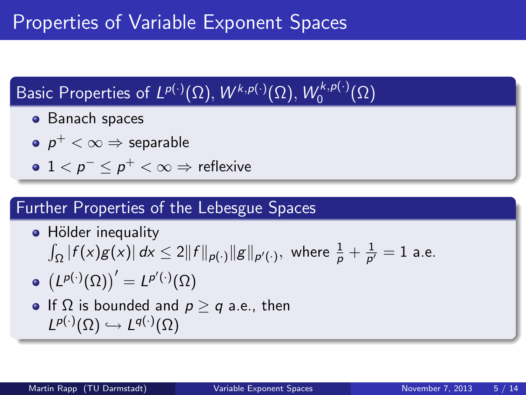#### Basic Properties of  $L^{p(\cdot)}(\Omega),$   $W^{k,p(\cdot)}(\Omega),$   $W_0^{k,p(\cdot)}$  $\binom{\kappa,\rho(\cdot)}{0}$

- **•** Banach spaces
- $\rho^+<\infty \Rightarrow$  separable
- $1 < p^- \leq p^+ < \infty \Rightarrow$  reflexive

### Further Properties of the Lebesgue Spaces

• Hölder inequality  
\n
$$
\int_{\Omega} |f(x)g(x)| dx \le 2||f||_{p(\cdot)}||g||_{p'(\cdot)}, \text{ where } \frac{1}{p} + \frac{1}{p'} = 1 \text{ a.e.}
$$

$$
\bullet \ \bigl(L^{p(\cdot)}(\Omega)\bigr)'=L^{p'(\cdot)}(\Omega)
$$

• If 
$$
\Omega
$$
 is bounded and  $p \ge q$  a.e., then  $L^{p(\cdot)}(\Omega) \hookrightarrow L^{q(\cdot)}(\Omega)$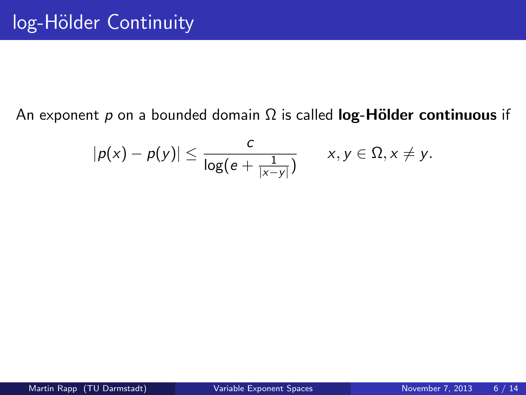### An exponent p on a bounded domain  $\Omega$  is called log-Hölder continuous if

$$
|p(x)-p(y)|\leq \frac{c}{\log(e+\frac{1}{|x-y|})}\qquad x,y\in\Omega, x\neq y.
$$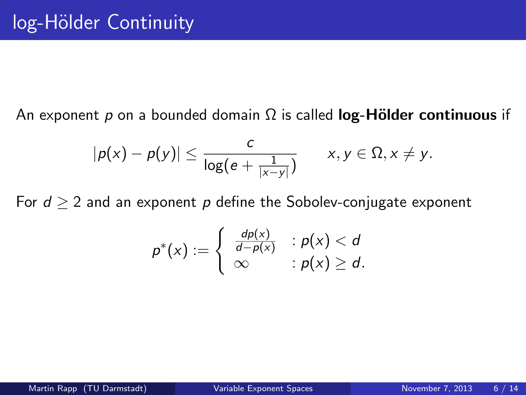An exponent p on a bounded domain  $\Omega$  is called **log-Hölder continuous** if

$$
|p(x)-p(y)|\leq \frac{c}{\log(e+\frac{1}{|x-y|})}\qquad x,y\in\Omega, x\neq y.
$$

For  $d > 2$  and an exponent p define the Sobolev-conjugate exponent

$$
p^*(x) := \begin{cases} \frac{dp(x)}{d-p(x)} & : p(x) < d \\ \infty & : p(x) \geq d. \end{cases}
$$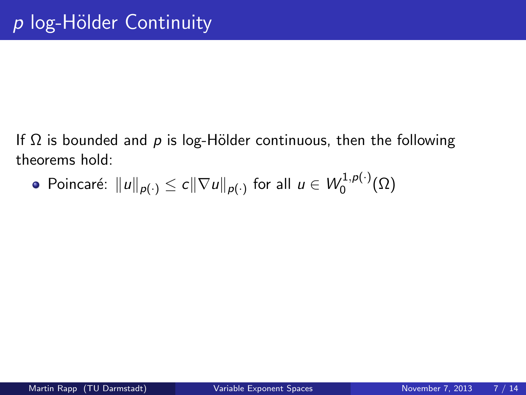• Poincaré: 
$$
||u||_{p(\cdot)} \le c||\nabla u||_{p(\cdot)}
$$
 for all  $u \in W_0^{1,p(\cdot)}(\Omega)$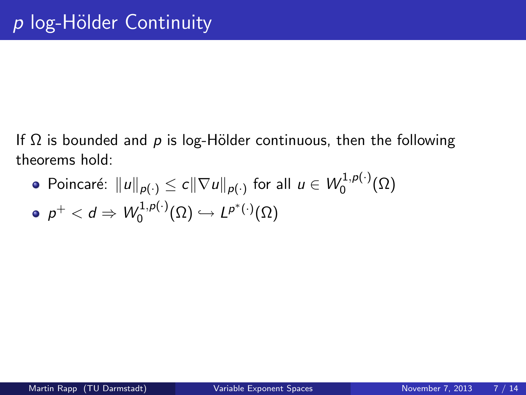Poincaré:  $\|u\|_{\rho(\cdot)}\leq c\|\nabla u\|_{\rho(\cdot)}$  for all  $u\in W^{1,p(\cdot)}_0$  $\binom{1}{0}^{(1,\mathcal{P}(\cdot))}(\Omega)$  $\rho^+ < d \Rightarrow \mathcal{W}^{1,p(\cdot)}_0$  $L^{(1,p(\cdot)}(\Omega) \hookrightarrow L^{p^*(\cdot)}(\Omega)$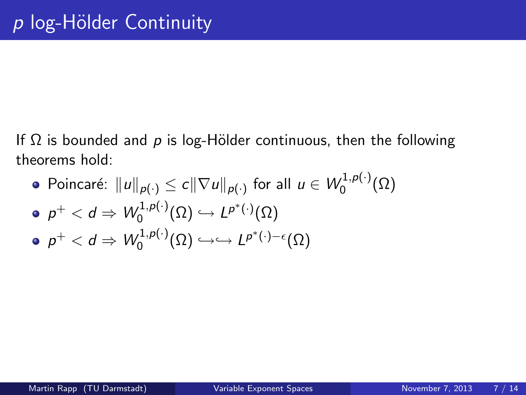Poincaré:  $\|u\|_{\rho(\cdot)}\leq c\|\nabla u\|_{\rho(\cdot)}$  for all  $u\in W^{1,p(\cdot)}_0$  $\binom{1}{0}^{(1,\mathcal{P}(\cdot))}(\Omega)$  $\rho^+ < d \Rightarrow \mathcal{W}^{1,p(\cdot)}_0$  $L^{(1,p(\cdot)}(\Omega) \hookrightarrow L^{p^*(\cdot)}(\Omega)$  $\rho^+ < d \Rightarrow \mathcal{W}^{1,p(\cdot)}_0$  $L^{(1,p(\cdot)}(\Omega) \hookrightarrow \hookrightarrow L^{p^*(\cdot)-\epsilon}(\Omega)$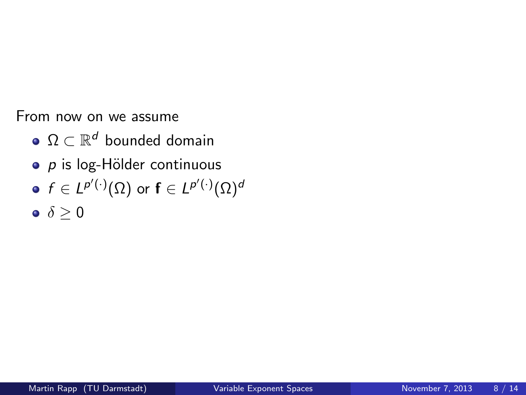From now on we assume

- $\Omega \subset \mathbb{R}^d$  bounded domain
- $\circ$  p is log-Hölder continuous
- $f\in L^{p'(\cdot)}(\Omega)$  or  $\mathsf{f}\in L^{p'(\cdot)}(\Omega)^d$
- <span id="page-24-0"></span> $\bullet \ \delta > 0$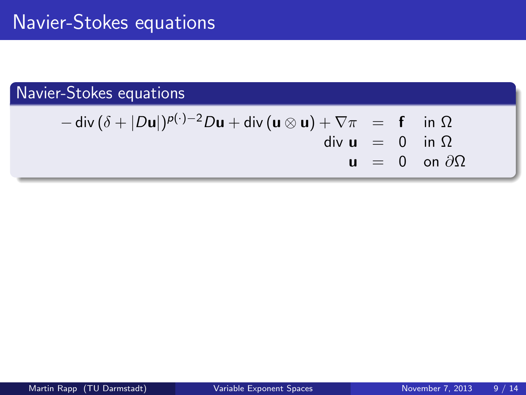$$
-\operatorname{div}(\delta + |D\mathbf{u}|)^{p(\cdot)-2}D\mathbf{u} + \operatorname{div}(\mathbf{u} \otimes \mathbf{u}) + \nabla\pi = \mathbf{f} \quad \text{in } \Omega
$$
  
div  $\mathbf{u} = 0 \quad \text{in } \Omega$   
 $\mathbf{u} = 0 \quad \text{on } \partial\Omega$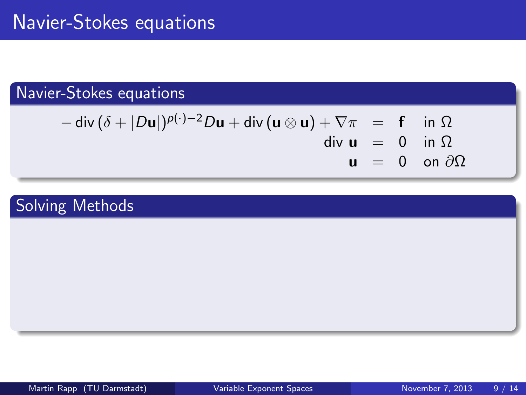$$
-\operatorname{div}(\delta + |D\mathbf{u}|)^{p(\cdot)-2}D\mathbf{u} + \operatorname{div}(\mathbf{u}\otimes\mathbf{u}) + \nabla\pi = \mathbf{f} \quad \text{in } \Omega
$$
  
div  $\mathbf{u} = 0$  in  $\Omega$   
 $\mathbf{u} = 0$  on  $\partial\Omega$ 

# Solving Methods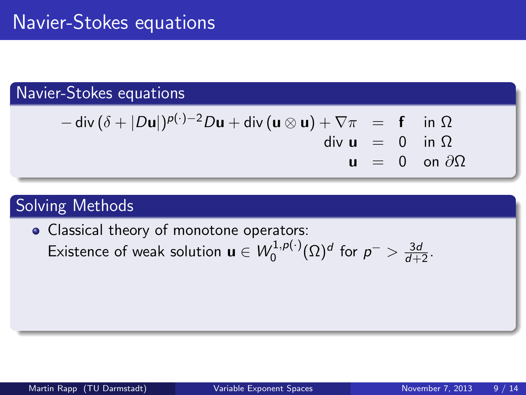$$
-\operatorname{div}(\delta + |D\mathbf{u}|)^{p(\cdot)-2}D\mathbf{u} + \operatorname{div}(\mathbf{u}\otimes\mathbf{u}) + \nabla\pi = \mathbf{f} \quad \text{in } \Omega
$$
  
div  $\mathbf{u} = 0$  in  $\Omega$   
 $\mathbf{u} = 0$  on  $\partial\Omega$ 

### Solving Methods

• Classical theory of monotone operators: Existence of weak solution  $\mathbf{u} \in W_0^{1,p(\cdot)}$  $\int_0^{1,p(\cdot)} (\Omega)^d$  for  $p^{-} > \frac{3d}{d+2}$ .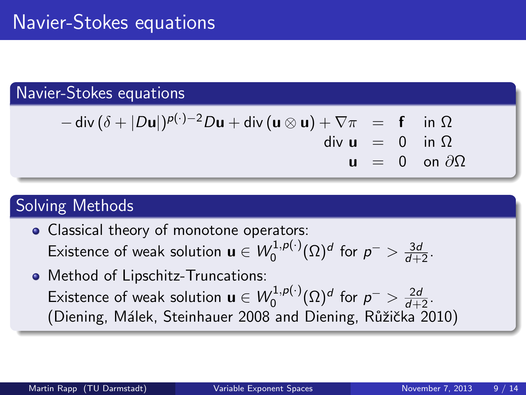$$
-\operatorname{div}(\delta + |D\mathbf{u}|)^{p(\cdot)-2}D\mathbf{u} + \operatorname{div}(\mathbf{u}\otimes\mathbf{u}) + \nabla\pi = \mathbf{f} \quad \text{in } \Omega
$$
  
div  $\mathbf{u} = 0$  in  $\Omega$   
 $\mathbf{u} = 0$  on  $\partial\Omega$ 

# Solving Methods

- Classical theory of monotone operators: Existence of weak solution  $\mathbf{u} \in W_0^{1,p(\cdot)}$  $\int_0^{1,p(\cdot)} (\Omega)^d$  for  $p^{-} > \frac{3d}{d+2}$ .
- Method of Lipschitz-Truncations: Existence of weak solution  $\mathbf{u} \in W^{1,p(\cdot)}_0$  $p^{(1,p(\cdot))}_{0}(\Omega)^{d}$  for  $p^{-}>\frac{2d}{d+2}$ . (Diening, Málek, Steinhauer 2008 and Diening, Růžička 2010)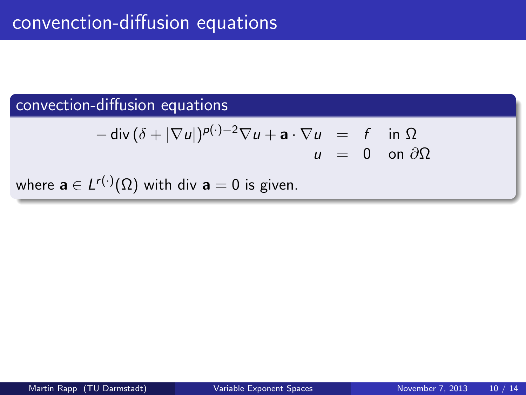### convection-diffusion equations

$$
-\operatorname{div}(\delta+|\nabla u|)^{p(\cdot)-2}\nabla u + \mathbf{a}\cdot\nabla u = f \text{ in } \Omega
$$
  
 
$$
u = 0 \text{ on } \partial\Omega
$$

where  $\mathbf{a} \in L^{r(\cdot)}(\Omega)$  with div  $\mathbf{a}=0$  is given.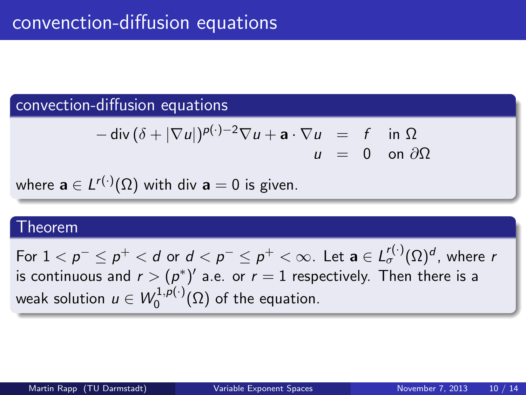### convection-diffusion equations

$$
-\operatorname{div}(\delta+|\nabla u|)^{p(\cdot)-2}\nabla u + \mathbf{a}\cdot\nabla u = f \text{ in } \Omega
$$
  
 
$$
u = 0 \text{ on } \partial\Omega
$$

where  $\mathbf{a} \in L^{r(\cdot)}(\Omega)$  with div  $\mathbf{a}=0$  is given.

### Theorem

For  $1 < p^- \leq p^+ < d$  or  $d < p^- \leq p^+ < \infty.$  Let  $\mathbf{a} \in L^{r(\cdot)}_\sigma(\Omega)^d,$  where  $r$ is continuous and  $r > (p^*)'$  a.e. or  $r=1$  respectively. Then there is a weak solution  $u \in W_0^{1,p(\cdot)}$  $\mathcal{O}^{(1,p(\cdot))}_{0}(\Omega)$  of the equation.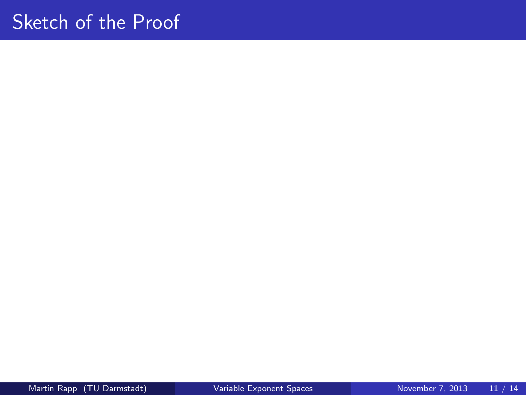# Sketch of the Proof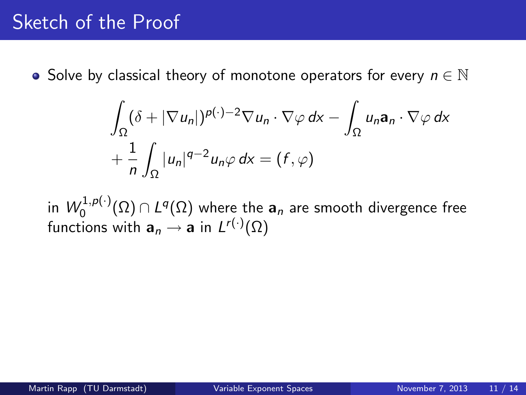$$
\int_{\Omega} (\delta + |\nabla u_n|)^{p(\cdot)-2} \nabla u_n \cdot \nabla \varphi \, dx - \int_{\Omega} u_n \mathbf{a}_n \cdot \nabla \varphi \, dx + \frac{1}{n} \int_{\Omega} |u_n|^{q-2} u_n \varphi \, dx = (f, \varphi)
$$

in  $\mathcal{W}^{1,p(\cdot)}_0$  $\mathcal{O}_0^{(1,\rho(\cdot))}(\Omega)\cap L^q(\Omega)$  where the  $\mathbf{a}_n$  are smooth divergence free functions with  $\mathbf{a}_n \to \mathbf{a}$  in  $L^{r(\cdot)}(\Omega)$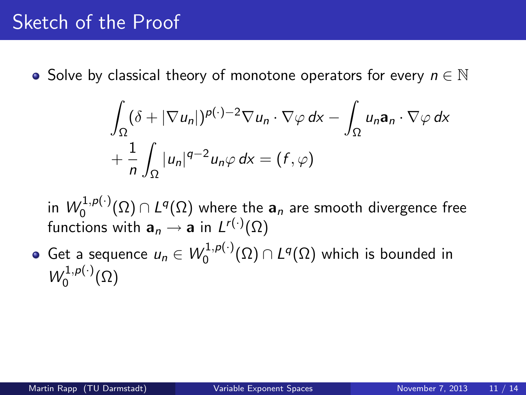$$
\int_{\Omega} (\delta + |\nabla u_n|)^{p(\cdot)-2} \nabla u_n \cdot \nabla \varphi \, dx - \int_{\Omega} u_n \mathbf{a}_n \cdot \nabla \varphi \, dx + \frac{1}{n} \int_{\Omega} |u_n|^{q-2} u_n \varphi \, dx = (f, \varphi)
$$

in  $\mathcal{W}^{1,p(\cdot)}_0$  $\mathcal{O}_0^{(1,\rho(\cdot))}(\Omega)\cap L^q(\Omega)$  where the  $\mathbf{a}_n$  are smooth divergence free functions with  $\mathbf{a}_n \to \mathbf{a}$  in  $L^{r(\cdot)}(\Omega)$ 

Get a sequence  $u_n \in W_0^{1,p(\cdot)}$  $\mathcal{L}^{1,p(\cdot)}(\Omega) \cap L^q(\Omega)$  which is bounded in  $W_0^{1,p(\cdot)}$  $\binom{1}{0}^{(1,\mathcal{P}(\cdot))}(\Omega)$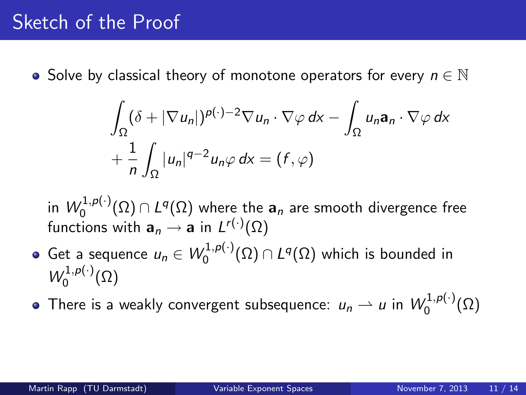$$
\int_{\Omega} (\delta + |\nabla u_n|)^{p(\cdot)-2} \nabla u_n \cdot \nabla \varphi \, dx - \int_{\Omega} u_n \mathbf{a}_n \cdot \nabla \varphi \, dx + \frac{1}{n} \int_{\Omega} |u_n|^{q-2} u_n \varphi \, dx = (f, \varphi)
$$

in  $\mathcal{W}^{1,p(\cdot)}_0$  $\mathcal{O}_0^{(1,\rho(\cdot))}(\Omega)\cap L^q(\Omega)$  where the  $\mathbf{a}_n$  are smooth divergence free functions with  $\mathbf{a}_n \to \mathbf{a}$  in  $L^{r(\cdot)}(\Omega)$ 

- Get a sequence  $u_n \in W_0^{1,p(\cdot)}$  $\mathcal{L}^{1,p(\cdot)}(\Omega) \cap L^q(\Omega)$  which is bounded in  $W_0^{1,p(\cdot)}$  $\binom{1}{0}^{(1,\mathcal{P}(\cdot))}(\Omega)$
- There is a weakly convergent subsequence:  $u_n \rightharpoonup u$  in  $W_0^{1,p(\cdot)}$  $\binom{1}{0}^{(1,\mathcal{P}(\cdot))}(\Omega)$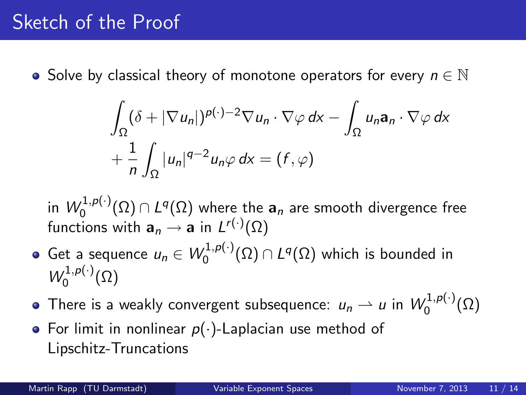$$
\int_{\Omega} (\delta + |\nabla u_n|)^{p(\cdot)-2} \nabla u_n \cdot \nabla \varphi \, dx - \int_{\Omega} u_n \mathbf{a}_n \cdot \nabla \varphi \, dx + \frac{1}{n} \int_{\Omega} |u_n|^{q-2} u_n \varphi \, dx = (f, \varphi)
$$

in  $\mathcal{W}^{1,p(\cdot)}_0$  $\mathcal{O}_0^{(1,\rho(\cdot))}(\Omega)\cap L^q(\Omega)$  where the  $\mathbf{a}_n$  are smooth divergence free functions with  $\mathbf{a}_n \to \mathbf{a}$  in  $L^{r(\cdot)}(\Omega)$ 

- Get a sequence  $u_n \in W_0^{1,p(\cdot)}$  $\mathcal{L}^{1,p(\cdot)}(\Omega) \cap L^q(\Omega)$  which is bounded in  $W_0^{1,p(\cdot)}$  $\binom{1}{0}^{(1,\mathcal{P}(\cdot))}(\Omega)$
- There is a weakly convergent subsequence:  $u_n \rightharpoonup u$  in  $W_0^{1,p(\cdot)}$  $\binom{1}{0}^{(1,\mathcal{P}(\cdot))}(\Omega)$
- For limit in nonlinear  $p(\cdot)$ -Laplacian use method of Lipschitz-Truncations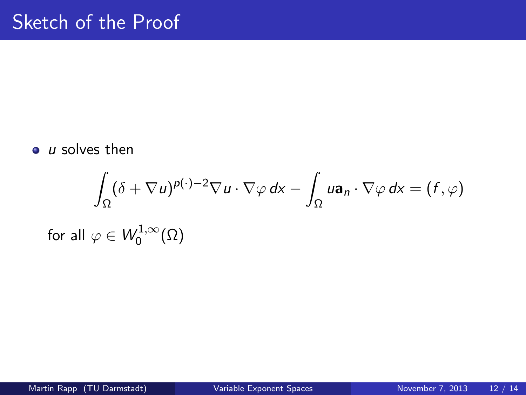$\bullet$  *u* solves then

$$
\int_{\Omega} (\delta + \nabla u)^{p(\cdot)-2} \nabla u \cdot \nabla \varphi \, dx - \int_{\Omega} u \mathbf{a}_n \cdot \nabla \varphi \, dx = (f, \varphi)
$$
  
for all  $\varphi \in W_0^{1,\infty}(\Omega)$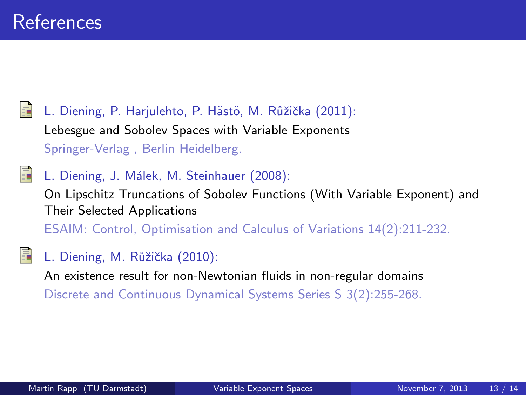L. Diening, P. Harjulehto, P. Hästö, M. Růžička (2011): Lebesgue and Sobolev Spaces with Variable Exponents Springer-Verlag , Berlin Heidelberg.

L. Diening, J. Málek, M. Steinhauer (2008):

On Lipschitz Truncations of Sobolev Functions (With Variable Exponent) and Their Selected Applications

ESAIM: Control, Optimisation and Calculus of Variations 14(2):211-232.

L. Diening, M. Růžička (2010):

An existence result for non-Newtonian fluids in non-regular domains Discrete and Continuous Dynamical Systems Series S 3(2):255-268.